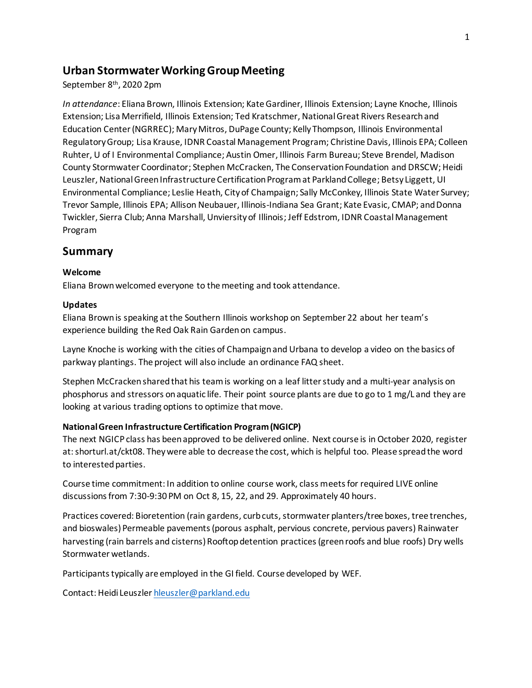# **Urban Stormwater Working Group Meeting**

September 8th, 2020 2pm

*In attendance*: Eliana Brown, Illinois Extension; Kate Gardiner, Illinois Extension; Layne Knoche, Illinois Extension; Lisa Merrifield, Illinois Extension; Ted Kratschmer, National Great Rivers Research and Education Center (NGRREC); Mary Mitros, DuPage County; Kelly Thompson, Illinois Environmental Regulatory Group; Lisa Krause, IDNR Coastal Management Program; Christine Davis, Illinois EPA; Colleen Ruhter, U of I Environmental Compliance; Austin Omer, Illinois Farm Bureau; Steve Brendel, Madison County Stormwater Coordinator; Stephen McCracken, The Conservation Foundation and DRSCW; Heidi Leuszler, National Green Infrastructure Certification Program at Parkland College; Betsy Liggett, UI Environmental Compliance; Leslie Heath, City of Champaign; Sally McConkey, Illinois State Water Survey; Trevor Sample, Illinois EPA; Allison Neubauer, Illinois-Indiana Sea Grant; Kate Evasic, CMAP; and Donna Twickler, Sierra Club; Anna Marshall, Unviersity of Illinois; Jeff Edstrom, IDNR Coastal Management Program

# **Summary**

### **Welcome**

Eliana Brown welcomed everyone to the meeting and took attendance.

### **Updates**

Eliana Brown is speaking at the Southern Illinois workshop on September 22 about her team's experience building the Red Oak Rain Garden on campus.

Layne Knoche is working with the cities of Champaign and Urbana to develop a video on the basics of parkway plantings. The project will also include an ordinance FAQ sheet.

Stephen McCracken shared that his team is working on a leaf litter study and a multi-year analysis on phosphorus and stressors on aquatic life. Their point source plants are due to go to 1 mg/L and they are looking at various trading options to optimize that move.

## **National Green Infrastructure Certification Program (NGICP)**

The next NGICP class has been approved to be delivered online. Next course is in October 2020, register at: shorturl.at/ckt08. They were able to decrease the cost, which is helpful too. Please spread the word to interested parties.

Course time commitment: In addition to online course work, class meets for required LIVE online discussions from 7:30-9:30 PM on Oct 8, 15, 22, and 29. Approximately 40 hours.

Practices covered: Bioretention (rain gardens, curb cuts, stormwater planters/tree boxes, tree trenches, and bioswales) Permeable pavements (porous asphalt, pervious concrete, pervious pavers) Rainwater harvesting (rain barrels and cisterns) Rooftop detention practices (green roofs and blue roofs) Dry wells Stormwater wetlands.

Participants typically are employed in the GI field. Course developed by WEF.

Contact: Heidi Leuszle[r hleuszler@parkland.edu](mailto:hleuszler@parkland.edu)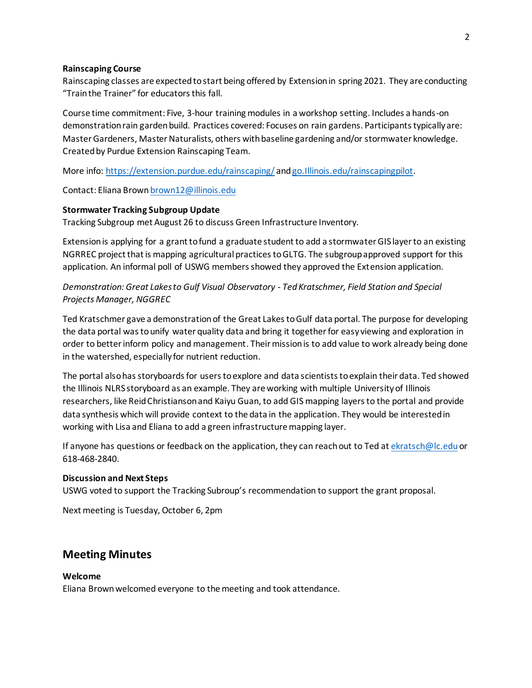#### **Rainscaping Course**

Rainscaping classes are expected to start being offered by Extension in spring 2021. They are conducting "Train the Trainer" for educators this fall.

Course time commitment: Five, 3-hour training modules in a workshop setting. Includes a hands-on demonstration rain garden build. Practices covered: Focuses on rain gardens. Participants typically are: Master Gardeners, Master Naturalists, others with baseline gardening and/or stormwater knowledge. Created by Purdue Extension Rainscaping Team.

More info:<https://extension.purdue.edu/rainscaping/> an[d go.Illinois.edu/rainscapingpilot.](file:///C:/Users/ekratsch/AppData/Local/Microsoft/Windows/INetCache/Content.Outlook/CHP3XHNT/go.Illinois.edu/rainscapingpilot)

Contact: Eliana Brow[n brown12@illinois.edu](mailto:brown12@illinois.edu)

### **Stormwater Tracking Subgroup Update**

Tracking Subgroup met August 26 to discuss Green Infrastructure Inventory.

Extension is applying for a grant to fund a graduate student to add a stormwater GIS layer to an existing NGRREC project that is mapping agricultural practices to GLTG. The subgroup approved support for this application. An informal poll of USWG members showed they approved the Extension application.

*Demonstration: Great Lakes to Gulf Visual Observatory - Ted Kratschmer, Field Station and Special Projects Manager, NGGREC*

Ted Kratschmer gave a demonstration of the Great Lakes to Gulf data portal. The purpose for developing the data portal was to unify water quality data and bring it together for easy viewing and exploration in order to better inform policy and management. Their mission is to add value to work already being done in the watershed, especially for nutrient reduction.

The portal also has storyboards for users to explore and data scientists to explain their data. Ted showed the Illinois NLRS storyboard as an example. They are working with multiple University of Illinois researchers, like Reid Christianson and Kaiyu Guan, to add GIS mapping layers to the portal and provide data synthesis which will provide context to the data in the application. They would be interested in working with Lisa and Eliana to add a green infrastructure mapping layer.

If anyone has questions or feedback on the application, they can reach out to Ted a[t ekratsch@lc.edu](mailto:ekratsch@lc.edu) or 618-468-2840.

#### **Discussion and Next Steps**

USWG voted to support the Tracking Subroup's recommendation to support the grant proposal.

Next meeting is Tuesday, October 6, 2pm

## **Meeting Minutes**

### **Welcome**

Eliana Brown welcomed everyone to the meeting and took attendance.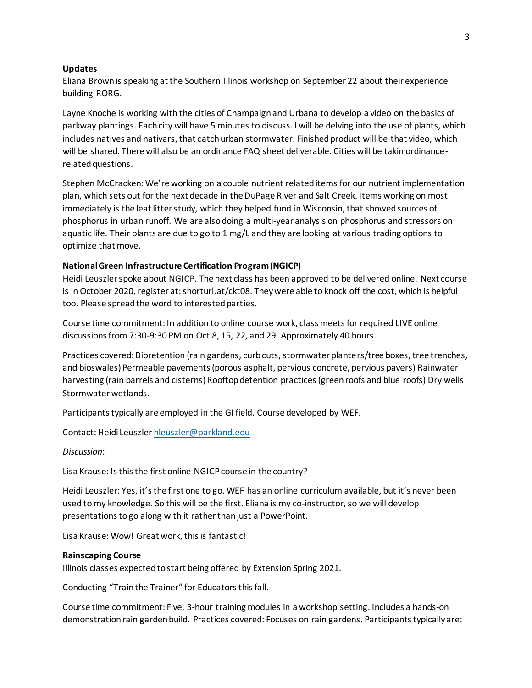#### **Updates**

Eliana Brown is speaking at the Southern Illinois workshop on September 22 about their experience building RORG.

Layne Knoche is working with the cities of Champaign and Urbana to develop a video on the basics of parkway plantings. Each city will have 5 minutes to discuss. I will be delving into the use of plants, which includes natives and nativars, that catch urban stormwater. Finished product will be that video, which will be shared. There will also be an ordinance FAQ sheet deliverable. Cities will be takin ordinancerelated questions.

Stephen McCracken: We're working on a couple nutrient related items for our nutrient implementation plan, which sets out for the next decade in the DuPage River and Salt Creek. Items working on most immediately is the leaf litter study, which they helped fund in Wisconsin, that showed sources of phosphorus in urban runoff. We are also doing a multi-year analysis on phosphorus and stressors on aquatic life. Their plants are due to go to 1 mg/L and they are looking at various trading options to optimize that move.

#### **National Green Infrastructure Certification Program (NGICP)**

Heidi Leuszler spoke about NGICP. The next class has been approved to be delivered online. Next course is in October 2020, register at: shorturl.at/ckt08. They were able to knock off the cost, which is helpful too. Please spread the word to interested parties.

Course time commitment: In addition to online course work, class meets for required LIVE online discussions from 7:30-9:30 PM on Oct 8, 15, 22, and 29. Approximately 40 hours.

Practices covered: Bioretention (rain gardens, curb cuts, stormwater planters/tree boxes, tree trenches, and bioswales) Permeable pavements (porous asphalt, pervious concrete, pervious pavers) Rainwater harvesting (rain barrels and cisterns) Rooftop detention practices (green roofs and blue roofs) Dry wells Stormwater wetlands.

Participants typically are employed in the GI field. Course developed by WEF.

Contact: Heidi Leuszle[r hleuszler@parkland.edu](mailto:hleuszler@parkland.edu)

*Discussion*:

Lisa Krause: Is this the first online NGICP course in the country?

Heidi Leuszler: Yes, it's the first one to go. WEF has an online curriculum available, but it's never been used to my knowledge. So this will be the first. Eliana is my co-instructor, so we will develop presentations to go along with it rather than just a PowerPoint.

Lisa Krause: Wow! Great work, this is fantastic!

#### **Rainscaping Course**

Illinois classes expected to start being offered by Extension Spring 2021.

Conducting "Train the Trainer" for Educators this fall.

Course time commitment: Five, 3-hour training modules in a workshop setting. Includes a hands-on demonstration rain garden build. Practices covered: Focuses on rain gardens. Participants typically are: